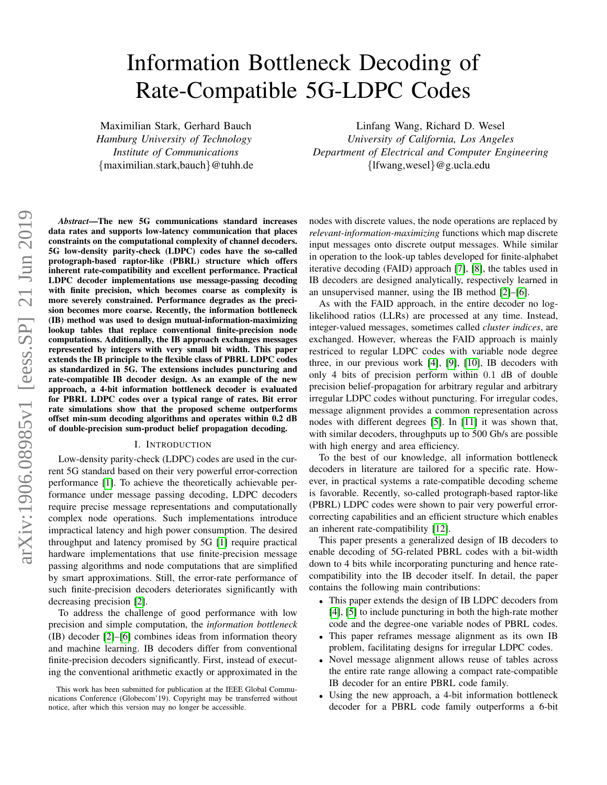# arXiv:1906.08985v1 [eess.SP] 21 Jun 2019 arXiv:1906.08985v1 [eess.SP] 21 Jun 2019

# Information Bottleneck Decoding of Rate-Compatible 5G-LDPC Codes

Maximilian Stark, Gerhard Bauch *Hamburg University of Technology Institute of Communications* {maximilian.stark,bauch}@tuhh.de

Linfang Wang, Richard D. Wesel *University of California, Los Angeles Department of Electrical and Computer Engineering* {lfwang,wesel}@g.ucla.edu

*Abstract*—The new 5G communications standard increases data rates and supports low-latency communication that places constraints on the computational complexity of channel decoders. 5G low-density parity-check (LDPC) codes have the so-called protograph-based raptor-like (PBRL) structure which offers inherent rate-compatibility and excellent performance. Practical LDPC decoder implementations use message-passing decoding with finite precision, which becomes coarse as complexity is more severely constrained. Performance degrades as the precision becomes more coarse. Recently, the information bottleneck (IB) method was used to design mutual-information-maximizing lookup tables that replace conventional finite-precision node computations. Additionally, the IB approach exchanges messages represented by integers with very small bit width. This paper extends the IB principle to the flexible class of PBRL LDPC codes as standardized in 5G. The extensions includes puncturing and rate-compatible IB decoder design. As an example of the new approach, a 4-bit information bottleneck decoder is evaluated for PBRL LDPC codes over a typical range of rates. Bit error rate simulations show that the proposed scheme outperforms offset min-sum decoding algorithms and operates within 0.2 dB of double-precision sum-product belief propagation decoding.

### I. INTRODUCTION

Low-density parity-check (LDPC) codes are used in the current 5G standard based on their very powerful error-correction performance [\[1\]](#page-5-0). To achieve the theoretically achievable performance under message passing decoding, LDPC decoders require precise message representations and computationally complex node operations. Such implementations introduce impractical latency and high power consumption. The desired throughput and latency promised by 5G [\[1\]](#page-5-0) require practical hardware implementations that use finite-precision message passing algorithms and node computations that are simplified by smart approximations. Still, the error-rate performance of such finite-precision decoders deteriorates significantly with decreasing precision [\[2\]](#page-5-1).

To address the challenge of good performance with low precision and simple computation, the *information bottleneck* (IB) decoder [\[2\]](#page-5-1)–[\[6\]](#page-5-2) combines ideas from information theory and machine learning. IB decoders differ from conventional finite-precision decoders significantly. First, instead of executing the conventional arithmetic exactly or approximated in the nodes with discrete values, the node operations are replaced by *relevant-information-maximizing* functions which map discrete input messages onto discrete output messages. While similar in operation to the look-up tables developed for finite-alphabet iterative decoding (FAID) approach [\[7\]](#page-5-3), [\[8\]](#page-5-4), the tables used in IB decoders are designed analytically, respectively learned in an unsupervised manner, using the IB method [\[2\]](#page-5-1)–[\[6\]](#page-5-2).

As with the FAID approach, in the entire decoder no loglikelihood ratios (LLRs) are processed at any time. Instead, integer-valued messages, sometimes called *cluster indices*, are exchanged. However, whereas the FAID approach is mainly restriced to regular LDPC codes with variable node degree three, in our previous work [\[4\]](#page-5-5), [\[9\]](#page-5-6), [\[10\]](#page-5-7), IB decoders with only 4 bits of precision perform within 0.1 dB of double precision belief-propagation for arbitrary regular and arbitrary irregular LDPC codes without puncturing. For irregular codes, message alignment provides a common representation across nodes with different degrees [\[5\]](#page-5-8). In [\[11\]](#page-5-9) it was shown that, with similar decoders, throughputs up to 500 Gb/s are possible with high energy and area efficiency.

To the best of our knowledge, all information bottleneck decoders in literature are tailored for a specific rate. However, in practical systems a rate-compatible decoding scheme is favorable. Recently, so-called protograph-based raptor-like (PBRL) LDPC codes were shown to pair very powerful errorcorrecting capabilities and an efficient structure which enables an inherent rate-compatibility [\[12\]](#page-5-10).

This paper presents a generalized design of IB decoders to enable decoding of 5G-related PBRL codes with a bit-width down to 4 bits while incorporating puncturing and hence ratecompatibility into the IB decoder itself. In detail, the paper contains the following main contributions:

- This paper extends the design of IB LDPC decoders from [\[4\]](#page-5-5), [\[5\]](#page-5-8) to include puncturing in both the high-rate mother code and the degree-one variable nodes of PBRL codes.
- This paper reframes message alignment as its own IB problem, facilitating designs for irregular LDPC codes.
- Novel message alignment allows reuse of tables across the entire rate range allowing a compact rate-compatible IB decoder for an entire PBRL code family.
- Using the new approach, a 4-bit information bottleneck decoder for a PBRL code family outperforms a 6-bit

This work has been submitted for publication at the IEEE Global Communications Conference (Globecom'19). Copyright may be transferred without notice, after which this version may no longer be accessible.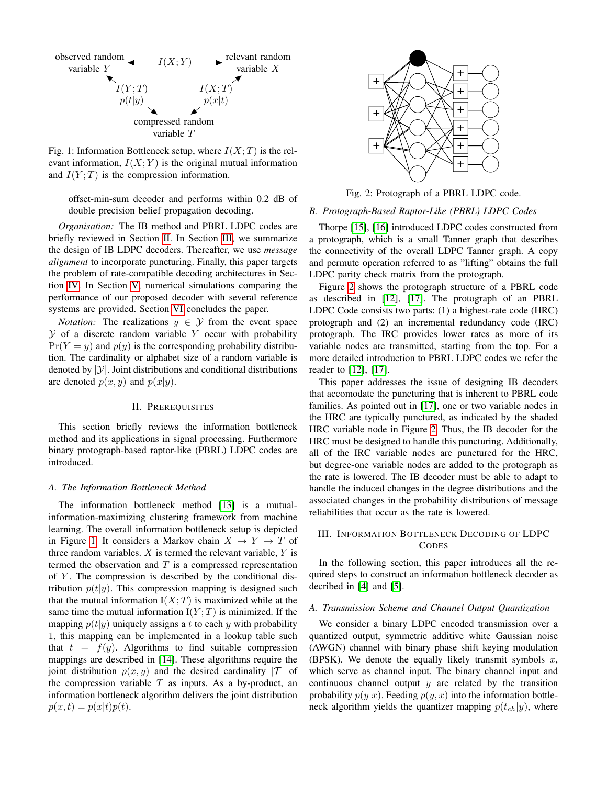<span id="page-1-2"></span>

Fig. 1: Information Bottleneck setup, where  $I(X;T)$  is the relevant information,  $I(X;Y)$  is the original mutual information and  $I(Y;T)$  is the compression information.

offset-min-sum decoder and performs within 0.2 dB of double precision belief propagation decoding.

*Organisation:* The IB method and PBRL LDPC codes are briefly reviewed in Section [II.](#page-1-0) In Section [III,](#page-1-1) we summarize the design of IB LDPC decoders. Thereafter, we use *message alignment* to incorporate puncturing. Finally, this paper targets the problem of rate-compatible decoding architectures in Section [IV.](#page-3-0) In Section [V,](#page-4-0) numerical simulations comparing the performance of our proposed decoder with several reference systems are provided. Section [VI](#page-5-11) concludes the paper.

*Notation:* The realizations  $y \in Y$  from the event space  $Y$  of a discrete random variable Y occur with probability  $Pr(Y = y)$  and  $p(y)$  is the corresponding probability distribution. The cardinality or alphabet size of a random variable is denoted by  $|\mathcal{Y}|$ . Joint distributions and conditional distributions are denoted  $p(x, y)$  and  $p(x|y)$ .

# II. PREREQUISITES

<span id="page-1-0"></span>This section briefly reviews the information bottleneck method and its applications in signal processing. Furthermore binary protograph-based raptor-like (PBRL) LDPC codes are introduced.

#### *A. The Information Bottleneck Method*

The information bottleneck method [\[13\]](#page-5-12) is a mutualinformation-maximizing clustering framework from machine learning. The overall information bottleneck setup is depicted in Figure [1.](#page-1-2) It considers a Markov chain  $X \to Y \to T$  of three random variables.  $X$  is termed the relevant variable,  $Y$  is termed the observation and  $T$  is a compressed representation of  $Y$ . The compression is described by the conditional distribution  $p(t|y)$ . This compression mapping is designed such that the mutual information  $I(X;T)$  is maximized while at the same time the mutual information  $I(Y;T)$  is minimized. If the mapping  $p(t|y)$  uniquely assigns a t to each y with probability 1, this mapping can be implemented in a lookup table such that  $t = f(y)$ . Algorithms to find suitable compression mappings are described in [\[14\]](#page-5-13). These algorithms require the joint distribution  $p(x, y)$  and the desired cardinality |T| of the compression variable  $T$  as inputs. As a by-product, an information bottleneck algorithm delivers the joint distribution  $p(x, t) = p(x|t)p(t).$ 

<span id="page-1-3"></span>

Fig. 2: Protograph of a PBRL LDPC code.

### *B. Protograph-Based Raptor-Like (PBRL) LDPC Codes*

Thorpe [\[15\]](#page-5-14), [\[16\]](#page-5-15) introduced LDPC codes constructed from a protograph, which is a small Tanner graph that describes the connectivity of the overall LDPC Tanner graph. A copy and permute operation referred to as "lifting" obtains the full LDPC parity check matrix from the protograph.

Figure [2](#page-1-3) shows the protograph structure of a PBRL code as described in [\[12\]](#page-5-10), [\[17\]](#page-5-16). The protograph of an PBRL LDPC Code consists two parts: (1) a highest-rate code (HRC) protograph and (2) an incremental redundancy code (IRC) protograph. The IRC provides lower rates as more of its variable nodes are transmitted, starting from the top. For a more detailed introduction to PBRL LDPC codes we refer the reader to [\[12\]](#page-5-10), [\[17\]](#page-5-16).

This paper addresses the issue of designing IB decoders that accomodate the puncturing that is inherent to PBRL code families. As pointed out in [\[17\]](#page-5-16), one or two variable nodes in the HRC are typically punctured, as indicated by the shaded HRC variable node in Figure [2.](#page-1-3) Thus, the IB decoder for the HRC must be designed to handle this puncturing. Additionally, all of the IRC variable nodes are punctured for the HRC, but degree-one variable nodes are added to the protograph as the rate is lowered. The IB decoder must be able to adapt to handle the induced changes in the degree distributions and the associated changes in the probability distributions of message reliabilities that occur as the rate is lowered.

# <span id="page-1-1"></span>III. INFORMATION BOTTLENECK DECODING OF LDPC **CODES**

In the following section, this paper introduces all the required steps to construct an information bottleneck decoder as decribed in [\[4\]](#page-5-5) and [\[5\]](#page-5-8).

## <span id="page-1-4"></span>*A. Transmission Scheme and Channel Output Quantization*

We consider a binary LDPC encoded transmission over a quantized output, symmetric additive white Gaussian noise (AWGN) channel with binary phase shift keying modulation (BPSK). We denote the equally likely transmit symbols  $x$ , which serve as channel input. The binary channel input and continuous channel output  $y$  are related by the transition probability  $p(y|x)$ . Feeding  $p(y, x)$  into the information bottleneck algorithm yields the quantizer mapping  $p(t_{ch}|y)$ , where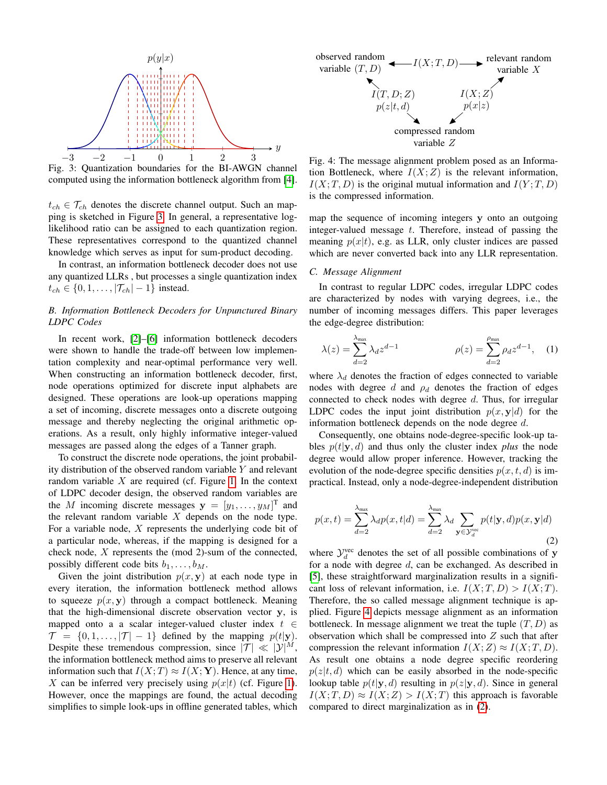<span id="page-2-0"></span>

Fig. 3: Quantization boundaries for the BI-AWGN channel computed using the information bottleneck algorithm from [\[4\]](#page-5-5).

 $t_{ch} \in \mathcal{T}_{ch}$  denotes the discrete channel output. Such an mapping is sketched in Figure [3.](#page-2-0) In general, a representative loglikelihood ratio can be assigned to each quantization region. These representatives correspond to the quantized channel knowledge which serves as input for sum-product decoding.

In contrast, an information bottleneck decoder does not use any quantized LLRs , but processes a single quantization index  $t_{ch} \in \{0, 1, \ldots, |\mathcal{T}_{ch}|-1\}$  instead.

# *B. Information Bottleneck Decoders for Unpunctured Binary LDPC Codes*

In recent work, [\[2\]](#page-5-1)–[\[6\]](#page-5-2) information bottleneck decoders were shown to handle the trade-off between low implementation complexity and near-optimal performance very well. When constructing an information bottleneck decoder, first, node operations optimized for discrete input alphabets are designed. These operations are look-up operations mapping a set of incoming, discrete messages onto a discrete outgoing message and thereby neglecting the original arithmetic operations. As a result, only highly informative integer-valued messages are passed along the edges of a Tanner graph.

To construct the discrete node operations, the joint probability distribution of the observed random variable Y and relevant random variable  $X$  are required (cf. Figure [1.](#page-1-2) In the context of LDPC decoder design, the observed random variables are the M incoming discrete messages  $\mathbf{y} = [y_1, \dots, y_M]^\text{T}$  and the relevant random variable  $X$  depends on the node type. For a variable node,  $X$  represents the underlying code bit of a particular node, whereas, if the mapping is designed for a check node, X represents the (mod 2)-sum of the connected, possibly different code bits  $b_1, \ldots, b_M$ .

Given the joint distribution  $p(x, y)$  at each node type in every iteration, the information bottleneck method allows to squeeze  $p(x, y)$  through a compact bottleneck. Meaning that the high-dimensional discrete observation vector y, is mapped onto a a scalar integer-valued cluster index  $t \in$  $\mathcal{T} = \{0, 1, \ldots, |\mathcal{T}| - 1\}$  defined by the mapping  $p(t|\mathbf{y})$ . Despite these tremendous compression, since  $|\mathcal{T}| \ll |\mathcal{Y}|^M$ , the information bottleneck method aims to preserve all relevant information such that  $I(X;T) \approx I(X; Y)$ . Hence, at any time, X can be inferred very precisely using  $p(x|t)$  (cf. Figure [1\)](#page-1-2). However, once the mappings are found, the actual decoding simplifies to simple look-ups in offline generated tables, which

<span id="page-2-1"></span>

Fig. 4: The message alignment problem posed as an Information Bottleneck, where  $I(X;Z)$  is the relevant information,  $I(X; T, D)$  is the original mutual information and  $I(Y; T, D)$ is the compressed information.

map the sequence of incoming integers y onto an outgoing integer-valued message  $t$ . Therefore, instead of passing the meaning  $p(x|t)$ , e.g. as LLR, only cluster indices are passed which are never converted back into any LLR representation.

# *C. Message Alignment*

In contrast to regular LDPC codes, irregular LDPC codes are characterized by nodes with varying degrees, i.e., the number of incoming messages differs. This paper leverages the edge-degree distribution:

$$
\lambda(z) = \sum_{d=2}^{\lambda_{\text{max}}} \lambda_d z^{d-1} \qquad \rho(z) = \sum_{d=2}^{\rho_{\text{max}}} \rho_d z^{d-1}, \quad (1)
$$

where  $\lambda_d$  denotes the fraction of edges connected to variable nodes with degree d and  $\rho_d$  denotes the fraction of edges connected to check nodes with degree d. Thus, for irregular LDPC codes the input joint distribution  $p(x, y|d)$  for the information bottleneck depends on the node degree d.

Consequently, one obtains node-degree-specific look-up tables  $p(t|\mathbf{y}, d)$  and thus only the cluster index *plus* the node degree would allow proper inference. However, tracking the evolution of the node-degree specific densities  $p(x, t, d)$  is impractical. Instead, only a node-degree-independent distribution

<span id="page-2-2"></span>
$$
p(x,t) = \sum_{d=2}^{\lambda_{\text{max}}} \lambda_d p(x,t|d) = \sum_{d=2}^{\lambda_{\text{max}}} \lambda_d \sum_{\mathbf{y} \in \mathcal{Y}_d^{\text{vec}}} p(t|\mathbf{y},d)p(x,\mathbf{y}|d)
$$
(2)

where  $\mathcal{Y}_d^{\text{vec}}$  denotes the set of all possible combinations of y for a node with degree d, can be exchanged. As described in [\[5\]](#page-5-8), these straightforward marginalization results in a significant loss of relevant information, i.e.  $I(X;T,D) > I(X;T)$ . Therefore, the so called message alignment technique is applied. Figure [4](#page-2-1) depicts message alignment as an information bottleneck. In message alignment we treat the tuple  $(T, D)$  as observation which shall be compressed into  $Z$  such that after compression the relevant information  $I(X;Z) \approx I(X;T,D)$ . As result one obtains a node degree specific reordering  $p(z|t, d)$  which can be easily absorbed in the node-specific lookup table  $p(t|\mathbf{y}, d)$  resulting in  $p(z|\mathbf{y}, d)$ . Since in general  $I(X; T, D) \approx I(X; Z) > I(X; T)$  this approach is favorable compared to direct marginalization as in [\(2\)](#page-2-2).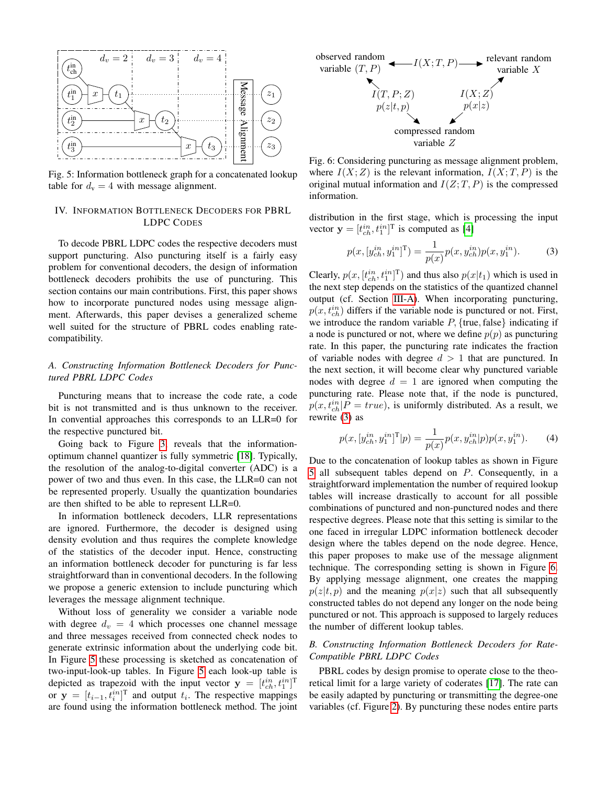<span id="page-3-1"></span>

Fig. 5: Information bottleneck graph for a concatenated lookup table for  $d_v = 4$  with message alignment.

# <span id="page-3-0"></span>IV. INFORMATION BOTTLENECK DECODERS FOR PBRL LDPC CODES

To decode PBRL LDPC codes the respective decoders must support puncturing. Also puncturing itself is a fairly easy problem for conventional decoders, the design of information bottleneck decoders prohibits the use of puncturing. This section contains our main contributions. First, this paper shows how to incorporate punctured nodes using message alignment. Afterwards, this paper devises a generalized scheme well suited for the structure of PBRL codes enabling ratecompatibility.

# *A. Constructing Information Bottleneck Decoders for Punctured PBRL LDPC Codes*

Puncturing means that to increase the code rate, a code bit is not transmitted and is thus unknown to the receiver. In convential approaches this corresponds to an LLR=0 for the respective punctured bit.

Going back to Figure [3,](#page-2-0) reveals that the informationoptimum channel quantizer is fully symmetric [\[18\]](#page-6-0). Typically, the resolution of the analog-to-digital converter (ADC) is a power of two and thus even. In this case, the LLR=0 can not be represented properly. Usually the quantization boundaries are then shifted to be able to represent LLR=0.

In information bottleneck decoders, LLR representations are ignored. Furthermore, the decoder is designed using density evolution and thus requires the complete knowledge of the statistics of the decoder input. Hence, constructing an information bottleneck decoder for puncturing is far less straightforward than in conventional decoders. In the following we propose a generic extension to include puncturing which leverages the message alignment technique.

Without loss of generality we consider a variable node with degree  $d_v = 4$  which processes one channel message and three messages received from connected check nodes to generate extrinsic information about the underlying code bit. In Figure [5](#page-3-1) these processing is sketched as concatenation of two-input-look-up tables. In Figure [5](#page-3-1) each look-up table is depicted as trapezoid with the input vector  $y = [t_{ch}^{in}, t_1^{in}]^T$ or  $y = [t_{i-1}, t_i^{in}]^T$  and output  $t_i$ . The respective mappings are found using the information bottleneck method. The joint

<span id="page-3-3"></span>

Fig. 6: Considering puncturing as message alignment problem, where  $I(X; Z)$  is the relevant information,  $I(X; T, P)$  is the original mutual information and  $I(Z;T, P)$  is the compressed information.

distribution in the first stage, which is processing the input vector  $\mathbf{y} = [t_{ch}^{in}, t_1^{in}]^T$  is computed as [\[4\]](#page-5-5)

<span id="page-3-2"></span>
$$
p(x, [y_{ch}^{in}, y_1^{in}]^{\mathrm{T}}) = \frac{1}{p(x)} p(x, y_{ch}^{in}) p(x, y_1^{in}).
$$
 (3)

Clearly,  $p(x, [t_{ch}^{in}, t_1^{in}]^T)$  and thus also  $p(x|t_1)$  which is used in the next step depends on the statistics of the quantized channel output (cf. Section [III-A\)](#page-1-4). When incorporating puncturing,  $p(x, t_{ch}^{in})$  differs if the variable node is punctured or not. First, we introduce the random variable  $P$ , {true, false} indicating if a node is punctured or not, where we define  $p(p)$  as puncturing rate. In this paper, the puncturing rate indicates the fraction of variable nodes with degree  $d > 1$  that are punctured. In the next section, it will become clear why punctured variable nodes with degree  $d = 1$  are ignored when computing the puncturing rate. Please note that, if the node is punctured,  $p(x, t_{ch}^{in}|P = true)$ , is uniformly distributed. As a result, we rewrite [\(3\)](#page-3-2) as

$$
p(x, [y_{ch}^{in}, y_1^{in}]^{\mathrm{T}} | p) = \frac{1}{p(x)} p(x, y_{ch}^{in} | p) p(x, y_1^{in}). \tag{4}
$$

Due to the concatenation of lookup tables as shown in Figure [5](#page-3-1) all subsequent tables depend on P. Consequently, in a straightforward implementation the number of required lookup tables will increase drastically to account for all possible combinations of punctured and non-punctured nodes and there respective degrees. Please note that this setting is similar to the one faced in irregular LDPC information bottleneck decoder design where the tables depend on the node degree. Hence, this paper proposes to make use of the message alignment technique. The corresponding setting is shown in Figure [6.](#page-3-3) By applying message alignment, one creates the mapping  $p(z|t, p)$  and the meaning  $p(x|z)$  such that all subsequently constructed tables do not depend any longer on the node being punctured or not. This approach is supposed to largely reduces the number of different lookup tables.

# *B. Constructing Information Bottleneck Decoders for Rate-Compatible PBRL LDPC Codes*

PBRL codes by design promise to operate close to the theoretical limit for a large variety of coderates [\[17\]](#page-5-16). The rate can be easily adapted by puncturing or transmitting the degree-one variables (cf. Figure [2\)](#page-1-3). By puncturing these nodes entire parts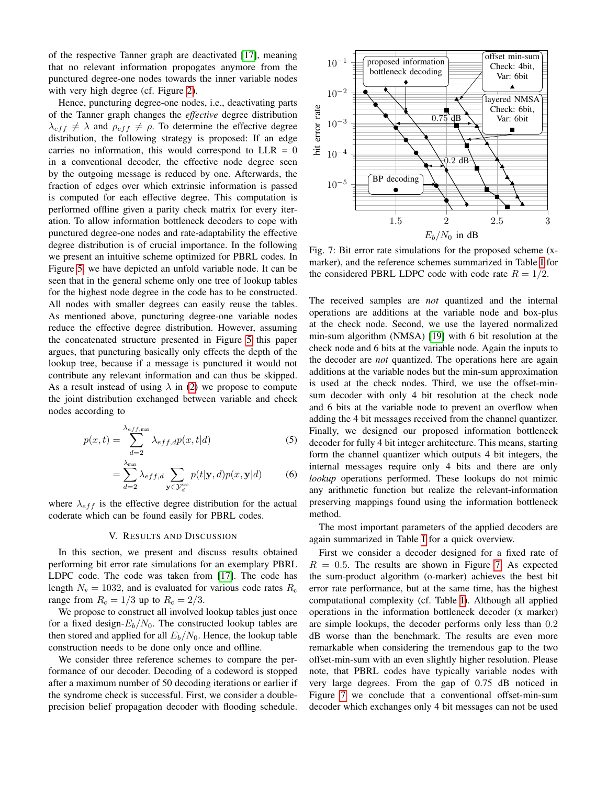of the respective Tanner graph are deactivated [\[17\]](#page-5-16), meaning that no relevant information propogates anymore from the punctured degree-one nodes towards the inner variable nodes with very high degree (cf. Figure [2\)](#page-1-3).

Hence, puncturing degree-one nodes, i.e., deactivating parts of the Tanner graph changes the *effective* degree distribution  $\lambda_{eff} \neq \lambda$  and  $\rho_{eff} \neq \rho$ . To determine the effective degree distribution, the following strategy is proposed: If an edge carries no information, this would correspond to  $LLR = 0$ in a conventional decoder, the effective node degree seen by the outgoing message is reduced by one. Afterwards, the fraction of edges over which extrinsic information is passed is computed for each effective degree. This computation is performed offline given a parity check matrix for every iteration. To allow information bottleneck decoders to cope with punctured degree-one nodes and rate-adaptability the effective degree distribution is of crucial importance. In the following we present an intuitive scheme optimized for PBRL codes. In Figure [5,](#page-3-1) we have depicted an unfold variable node. It can be seen that in the general scheme only one tree of lookup tables for the highest node degree in the code has to be constructed. All nodes with smaller degrees can easily reuse the tables. As mentioned above, puncturing degree-one variable nodes reduce the effective degree distribution. However, assuming the concatenated structure presented in Figure [5](#page-3-1) this paper argues, that puncturing basically only effects the depth of the lookup tree, because if a message is punctured it would not contribute any relevant information and can thus be skipped. As a result instead of using  $\lambda$  in [\(2\)](#page-2-2) we propose to compute the joint distribution exchanged between variable and check nodes according to

$$
p(x,t) = \sum_{d=2}^{\lambda_{eff,\text{max}}} \lambda_{eff,d} p(x,t|d)
$$
 (5)

$$
= \sum_{d=2}^{\lambda_{\text{max}}} \lambda_{eff,d} \sum_{\mathbf{y} \in \mathcal{Y}_d^{\text{vec}}} p(t|\mathbf{y}, d) p(x, \mathbf{y}|d) \tag{6}
$$

where  $\lambda_{eff}$  is the effective degree distribution for the actual coderate which can be found easily for PBRL codes.

#### V. RESULTS AND DISCUSSION

<span id="page-4-0"></span>In this section, we present and discuss results obtained performing bit error rate simulations for an exemplary PBRL LDPC code. The code was taken from [\[17\]](#page-5-16). The code has length  $N_v = 1032$ , and is evaluated for various code rates  $R_c$ range from  $R_c = 1/3$  up to  $R_c = 2/3$ .

We propose to construct all involved lookup tables just once for a fixed design- $E_b/N_0$ . The constructed lookup tables are then stored and applied for all  $E_b/N_0$ . Hence, the lookup table construction needs to be done only once and offline.

We consider three reference schemes to compare the performance of our decoder. Decoding of a codeword is stopped after a maximum number of 50 decoding iterations or earlier if the syndrome check is successful. First, we consider a doubleprecision belief propagation decoder with flooding schedule.

<span id="page-4-1"></span>

Fig. 7: Bit error rate simulations for the proposed scheme (xmarker), and the reference schemes summarized in Table [I](#page-5-17) for the considered PBRL LDPC code with code rate  $R = 1/2$ .

The received samples are *not* quantized and the internal operations are additions at the variable node and box-plus at the check node. Second, we use the layered normalized min-sum algorithm (NMSA) [\[19\]](#page-6-1) with 6 bit resolution at the check node and 6 bits at the variable node. Again the inputs to the decoder are *not* quantized. The operations here are again additions at the variable nodes but the min-sum approximation is used at the check nodes. Third, we use the offset-minsum decoder with only 4 bit resolution at the check node and 6 bits at the variable node to prevent an overflow when adding the 4 bit messages received from the channel quantizer. Finally, we designed our proposed information bottleneck decoder for fully 4 bit integer architecture. This means, starting form the channel quantizer which outputs 4 bit integers, the internal messages require only 4 bits and there are only *lookup* operations performed. These lookups do not mimic any arithmetic function but realize the relevant-information preserving mappings found using the information bottleneck method.

The most important parameters of the applied decoders are again summarized in Table [I](#page-5-17) for a quick overview.

First we consider a decoder designed for a fixed rate of  $R = 0.5$ . The results are shown in Figure [7.](#page-4-1) As expected the sum-product algorithm (o-marker) achieves the best bit error rate performance, but at the same time, has the highest computational complexity (cf. Table [I\)](#page-5-17). Although all applied operations in the information bottleneck decoder (x marker) are simple lookups, the decoder performs only less than 0.2 dB worse than the benchmark. The results are even more remarkable when considering the tremendous gap to the two offset-min-sum with an even slightly higher resolution. Please note, that PBRL codes have typically variable nodes with very large degrees. From the gap of 0.75 dB noticed in Figure [7](#page-4-1) we conclude that a conventional offset-min-sum decoder which exchanges only 4 bit messages can not be used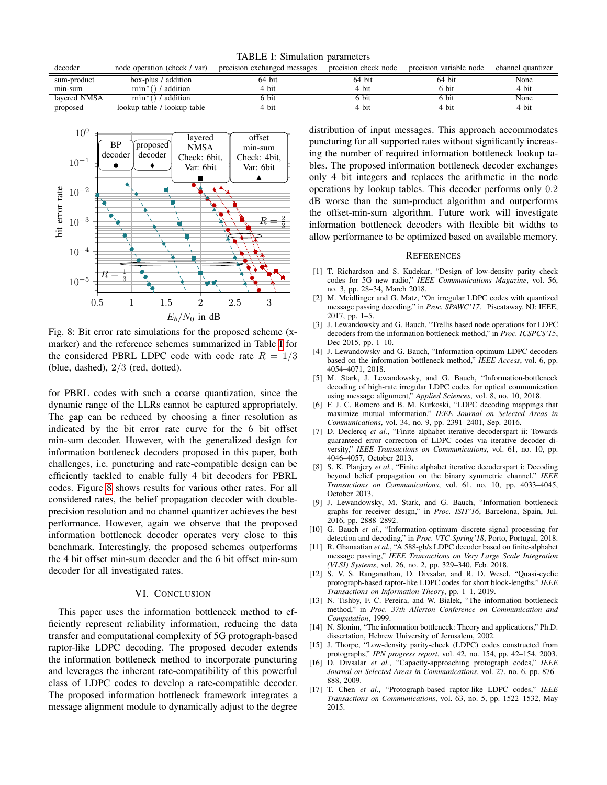<span id="page-5-17"></span>

| decoder      | node operation (check / var) | precision exchanged messages | precision check node | precision variable node | channel quantizer |
|--------------|------------------------------|------------------------------|----------------------|-------------------------|-------------------|
| sum-product  | box-plus / addition          | 64 bit                       | 64 bit               | 64 bit                  | None              |
| min-sum      | ' addition<br>min            | 4 bit                        | 4 bit                | 6 bit                   | 4 bit             |
| lavered NMSA | addition<br>min              | 5 bit                        | 6 bit                | 6 bit                   | None              |
| proposed     | lookup table / lookup table  | 4 bit                        | 4 bit                | 4 bit                   | 4 bit             |

TABLE I: Simulation parameters

<span id="page-5-18"></span>

Fig. 8: Bit error rate simulations for the proposed scheme (xmarker) and the reference schemes summarized in Table [I](#page-5-17) for the considered PBRL LDPC code with code rate  $R = 1/3$ (blue, dashed),  $2/3$  (red, dotted).

for PBRL codes with such a coarse quantization, since the dynamic range of the LLRs cannot be captured appropriately. The gap can be reduced by choosing a finer resolution as indicated by the bit error rate curve for the 6 bit offset min-sum decoder. However, with the generalized design for information bottleneck decoders proposed in this paper, both challenges, i.e. puncturing and rate-compatible design can be efficiently tackled to enable fully 4 bit decoders for PBRL codes. Figure [8](#page-5-18) shows results for various other rates. For all considered rates, the belief propagation decoder with doubleprecision resolution and no channel quantizer achieves the best performance. However, again we observe that the proposed information bottleneck decoder operates very close to this benchmark. Interestingly, the proposed schemes outperforms the 4 bit offset min-sum decoder and the 6 bit offset min-sum decoder for all investigated rates.

## VI. CONCLUSION

<span id="page-5-11"></span>This paper uses the information bottleneck method to efficiently represent reliability information, reducing the data transfer and computational complexity of 5G protograph-based raptor-like LDPC decoding. The proposed decoder extends the information bottleneck method to incorporate puncturing and leverages the inherent rate-compatibility of this powerful class of LDPC codes to develop a rate-compatible decoder. The proposed information bottleneck framework integrates a message alignment module to dynamically adjust to the degree

distribution of input messages. This approach accommodates puncturing for all supported rates without significantly increasing the number of required information bottleneck lookup tables. The proposed information bottleneck decoder exchanges only 4 bit integers and replaces the arithmetic in the node operations by lookup tables. This decoder performs only 0.2 dB worse than the sum-product algorithm and outperforms the offset-min-sum algorithm. Future work will investigate information bottleneck decoders with flexible bit widths to allow performance to be optimized based on available memory.

#### **REFERENCES**

- <span id="page-5-0"></span>[1] T. Richardson and S. Kudekar, "Design of low-density parity check codes for 5G new radio," *IEEE Communications Magazine*, vol. 56, no. 3, pp. 28–34, March 2018.
- <span id="page-5-1"></span>[2] M. Meidlinger and G. Matz, "On irregular LDPC codes with quantized message passing decoding," in *Proc. SPAWC'17*. Piscataway, NJ: IEEE, 2017, pp. 1–5.
- [3] J. Lewandowsky and G. Bauch, "Trellis based node operations for LDPC decoders from the information bottleneck method," in *Proc. ICSPCS'15*, Dec 2015, pp. 1–10.
- <span id="page-5-5"></span>[4] J. Lewandowsky and G. Bauch, "Information-optimum LDPC decoders based on the information bottleneck method," *IEEE Access*, vol. 6, pp. 4054–4071, 2018.
- <span id="page-5-8"></span>[5] M. Stark, J. Lewandowsky, and G. Bauch, "Information-bottleneck decoding of high-rate irregular LDPC codes for optical communication using message alignment," *Applied Sciences*, vol. 8, no. 10, 2018.
- <span id="page-5-2"></span>[6] F. J. C. Romero and B. M. Kurkoski, "LDPC decoding mappings that maximize mutual information," *IEEE Journal on Selected Areas in Communications*, vol. 34, no. 9, pp. 2391–2401, Sep. 2016.
- <span id="page-5-3"></span>[7] D. Declercq *et al.*, "Finite alphabet iterative decoderspart ii: Towards guaranteed error correction of LDPC codes via iterative decoder diversity," *IEEE Transactions on Communications*, vol. 61, no. 10, pp. 4046–4057, October 2013.
- <span id="page-5-4"></span>[8] S. K. Planjery *et al.*, "Finite alphabet iterative decoderspart i: Decoding beyond belief propagation on the binary symmetric channel," *IEEE Transactions on Communications*, vol. 61, no. 10, pp. 4033–4045, October 2013.
- <span id="page-5-6"></span>[9] J. Lewandowsky, M. Stark, and G. Bauch, "Information bottleneck graphs for receiver design," in *Proc. ISIT'16*, Barcelona, Spain, Jul. 2016, pp. 2888–2892.
- <span id="page-5-7"></span>[10] G. Bauch et al., "Information-optimum discrete signal processing for detection and decoding," in *Proc. VTC-Spring'18*, Porto, Portugal, 2018.
- <span id="page-5-9"></span>[11] R. Ghanaatian *et al.*, "A 588-gb/s LDPC decoder based on finite-alphabet message passing," *IEEE Transactions on Very Large Scale Integration (VLSI) Systems*, vol. 26, no. 2, pp. 329–340, Feb. 2018.
- <span id="page-5-10"></span>[12] S. V. S. Ranganathan, D. Divsalar, and R. D. Wesel, "Quasi-cyclic protograph-based raptor-like LDPC codes for short block-lengths," *IEEE Transactions on Information Theory*, pp. 1–1, 2019.
- <span id="page-5-12"></span>[13] N. Tishby, F. C. Pereira, and W. Bialek, "The information bottleneck method," in *Proc. 37th Allerton Conference on Communication and Computation*, 1999.
- <span id="page-5-13"></span>[14] N. Slonim, "The information bottleneck: Theory and applications," Ph.D. dissertation, Hebrew University of Jerusalem, 2002.
- <span id="page-5-14"></span>[15] J. Thorpe, "Low-density parity-check (LDPC) codes constructed from protographs," *IPN progress report*, vol. 42, no. 154, pp. 42–154, 2003.
- <span id="page-5-15"></span>[16] D. Divsalar *et al.*, "Capacity-approaching protograph codes," *IEEE Journal on Selected Areas in Communications*, vol. 27, no. 6, pp. 876– 888, 2009.
- <span id="page-5-16"></span>[17] T. Chen *et al.*, "Protograph-based raptor-like LDPC codes," *IEEE Transactions on Communications*, vol. 63, no. 5, pp. 1522–1532, May 2015.